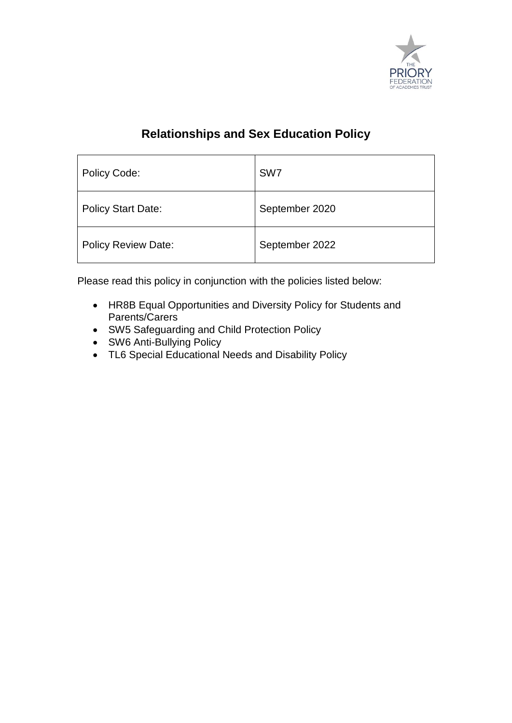

# **Relationships and Sex Education Policy**

| Policy Code:               | SW <sub>7</sub> |
|----------------------------|-----------------|
| <b>Policy Start Date:</b>  | September 2020  |
| <b>Policy Review Date:</b> | September 2022  |

Please read this policy in conjunction with the policies listed below:

- HR8B Equal Opportunities and Diversity Policy for Students and Parents/Carers
- SW5 Safeguarding and Child Protection Policy
- SW6 Anti-Bullying Policy
- TL6 Special Educational Needs and Disability Policy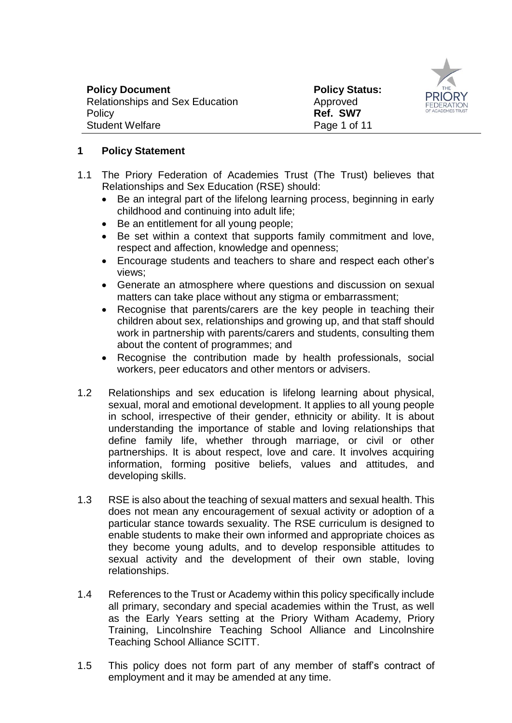| <b>Policy Document</b>                 | <b>Policy Status:</b> |           |
|----------------------------------------|-----------------------|-----------|
| <b>Relationships and Sex Education</b> | Approved              | PF<br>FFI |
| Policy                                 | Ref. SW7              | OF A      |
| <b>Student Welfare</b>                 | Page 1 of 11          |           |



- 1.1 The Priory Federation of Academies Trust (The Trust) believes that Relationships and Sex Education (RSE) should:
	- Be an integral part of the lifelong learning process, beginning in early childhood and continuing into adult life;
	- Be an entitlement for all young people;
	- Be set within a context that supports family commitment and love, respect and affection, knowledge and openness;
	- Encourage students and teachers to share and respect each other's views;
	- Generate an atmosphere where questions and discussion on sexual matters can take place without any stigma or embarrassment:
	- Recognise that parents/carers are the key people in teaching their children about sex, relationships and growing up, and that staff should work in partnership with parents/carers and students, consulting them about the content of programmes; and
	- Recognise the contribution made by health professionals, social workers, peer educators and other mentors or advisers.
- 1.2 Relationships and sex education is lifelong learning about physical, sexual, moral and emotional development. It applies to all young people in school, irrespective of their gender, ethnicity or ability. It is about understanding the importance of stable and loving relationships that define family life, whether through marriage, or civil or other partnerships. It is about respect, love and care. It involves acquiring information, forming positive beliefs, values and attitudes, and developing skills.
- 1.3 RSE is also about the teaching of sexual matters and sexual health. This does not mean any encouragement of sexual activity or adoption of a particular stance towards sexuality. The RSE curriculum is designed to enable students to make their own informed and appropriate choices as they become young adults, and to develop responsible attitudes to sexual activity and the development of their own stable, loving relationships.
- 1.4 References to the Trust or Academy within this policy specifically include all primary, secondary and special academies within the Trust, as well as the Early Years setting at the Priory Witham Academy, Priory Training, Lincolnshire Teaching School Alliance and Lincolnshire Teaching School Alliance SCITT.
- 1.5 This policy does not form part of any member of staff's contract of employment and it may be amended at any time.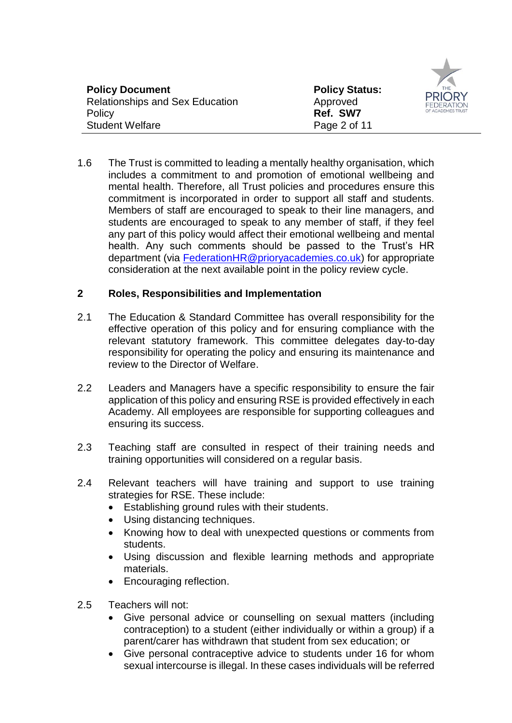| <b>Policy Document</b><br><b>Relationships and Sex Education</b> | <b>Policy Status:</b><br>Approved | <b>PRIOF</b><br><b>FEDERATI</b> |
|------------------------------------------------------------------|-----------------------------------|---------------------------------|
| Policy                                                           | Ref. SW7                          | OF ACADEMIES T                  |
| <b>Student Welfare</b>                                           | Page 2 of 11                      |                                 |

1.6 The Trust is committed to leading a mentally healthy organisation, which includes a commitment to and promotion of emotional wellbeing and mental health. Therefore, all Trust policies and procedures ensure this commitment is incorporated in order to support all staff and students. Members of staff are encouraged to speak to their line managers, and students are encouraged to speak to any member of staff, if they feel any part of this policy would affect their emotional wellbeing and mental health. Any such comments should be passed to the Trust's HR department (via [FederationHR@prioryacademies.co.uk\)](mailto:FederationHR@prioryacademies.co.uk) for appropriate consideration at the next available point in the policy review cycle.

#### **2 Roles, Responsibilities and Implementation**

- 2.1 The Education & Standard Committee has overall responsibility for the effective operation of this policy and for ensuring compliance with the relevant statutory framework. This committee delegates day-to-day responsibility for operating the policy and ensuring its maintenance and review to the Director of Welfare.
- 2.2 Leaders and Managers have a specific responsibility to ensure the fair application of this policy and ensuring RSE is provided effectively in each Academy. All employees are responsible for supporting colleagues and ensuring its success.
- 2.3 Teaching staff are consulted in respect of their training needs and training opportunities will considered on a regular basis.
- 2.4 Relevant teachers will have training and support to use training strategies for RSE. These include:
	- Establishing ground rules with their students.
	- Using distancing techniques.
	- Knowing how to deal with unexpected questions or comments from students.
	- Using discussion and flexible learning methods and appropriate materials.
	- Encouraging reflection.
- 2.5 Teachers will not:
	- Give personal advice or counselling on sexual matters (including contraception) to a student (either individually or within a group) if a parent/carer has withdrawn that student from sex education; or
	- Give personal contraceptive advice to students under 16 for whom sexual intercourse is illegal. In these cases individuals will be referred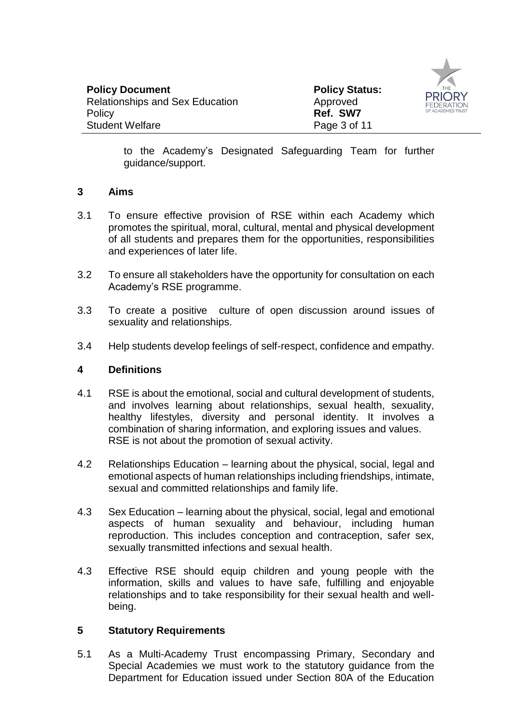

to the Academy's Designated Safeguarding Team for further guidance/support.

#### **3 Aims**

- 3.1 To ensure effective provision of RSE within each Academy which promotes the spiritual, moral, cultural, mental and physical development of all students and prepares them for the opportunities, responsibilities and experiences of later life.
- 3.2 To ensure all stakeholders have the opportunity for consultation on each Academy's RSE programme.
- 3.3 To create a positive culture of open discussion around issues of sexuality and relationships.
- 3.4 Help students develop feelings of self-respect, confidence and empathy.

#### **4 Definitions**

- 4.1 RSE is about the emotional, social and cultural development of students, and involves learning about relationships, sexual health, sexuality, healthy lifestyles, diversity and personal identity. It involves a combination of sharing information, and exploring issues and values. RSE is not about the promotion of sexual activity.
- 4.2 Relationships Education learning about the physical, social, legal and emotional aspects of human relationships including friendships, intimate, sexual and committed relationships and family life.
- 4.3 Sex Education learning about the physical, social, legal and emotional aspects of human sexuality and behaviour, including human reproduction. This includes conception and contraception, safer sex, sexually transmitted infections and sexual health.
- 4.3 Effective RSE should equip children and young people with the information, skills and values to have safe, fulfilling and enjoyable relationships and to take responsibility for their sexual health and wellbeing.

# **5 Statutory Requirements**

5.1 As a Multi-Academy Trust encompassing Primary, Secondary and Special Academies we must work to the statutory guidance from the Department for Education issued under Section 80A of the Education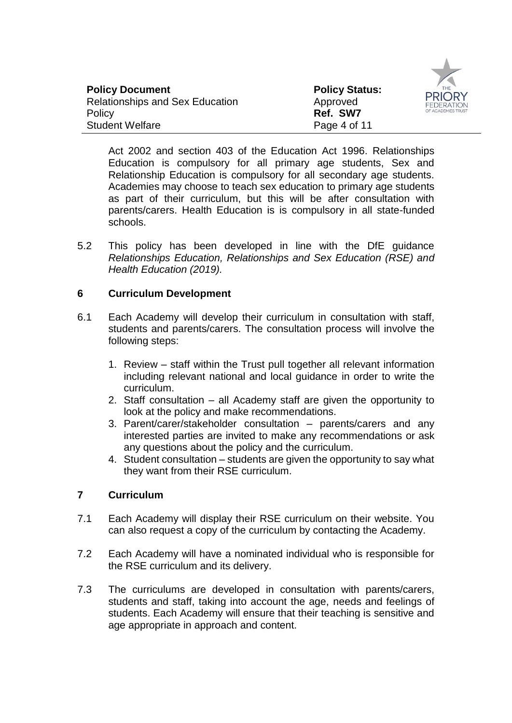| <b>Policy Document</b>                 | <b>Policy Status:</b> | P  |
|----------------------------------------|-----------------------|----|
| <b>Relationships and Sex Education</b> | Approved              |    |
| Policy                                 | Ref. SW7              | OF |
| <b>Student Welfare</b>                 | Page 4 of 11          |    |



Act 2002 and section 403 of the Education Act 1996. Relationships Education is compulsory for all primary age students, Sex and Relationship Education is compulsory for all secondary age students. Academies may choose to teach sex education to primary age students as part of their curriculum, but this will be after consultation with parents/carers. Health Education is is compulsory in all state-funded schools.

5.2 This policy has been developed in line with the DfE guidance *Relationships Education, Relationships and Sex Education (RSE) and Health Education (2019).* 

#### **6 Curriculum Development**

- 6.1 Each Academy will develop their curriculum in consultation with staff, students and parents/carers. The consultation process will involve the following steps:
	- 1. Review staff within the Trust pull together all relevant information including relevant national and local guidance in order to write the curriculum.
	- 2. Staff consultation all Academy staff are given the opportunity to look at the policy and make recommendations.
	- 3. Parent/carer/stakeholder consultation parents/carers and any interested parties are invited to make any recommendations or ask any questions about the policy and the curriculum.
	- 4. Student consultation students are given the opportunity to say what they want from their RSE curriculum.

# **7 Curriculum**

- 7.1 Each Academy will display their RSE curriculum on their website. You can also request a copy of the curriculum by contacting the Academy.
- 7.2 Each Academy will have a nominated individual who is responsible for the RSE curriculum and its delivery.
- 7.3 The curriculums are developed in consultation with parents/carers, students and staff, taking into account the age, needs and feelings of students. Each Academy will ensure that their teaching is sensitive and age appropriate in approach and content.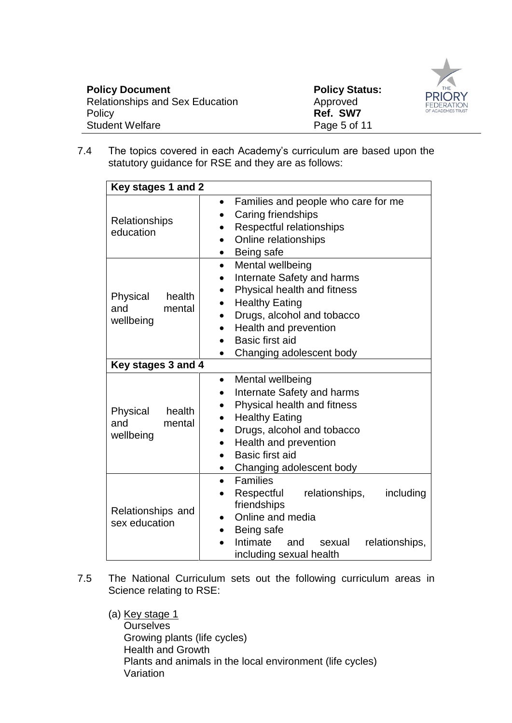| <b>Policy Document</b><br><b>Relationships and Sex Education</b><br>Approved<br>Ref. SW7<br>Policy<br><b>Student Welfare</b> | <b>Policy Status:</b><br><b>PRIORY</b><br><b>FEDERATION</b><br>OF ACADEMIES TRUST<br>Page 5 of 11 |
|------------------------------------------------------------------------------------------------------------------------------|---------------------------------------------------------------------------------------------------|
|------------------------------------------------------------------------------------------------------------------------------|---------------------------------------------------------------------------------------------------|

7.4 The topics covered in each Academy's curriculum are based upon the statutory guidance for RSE and they are as follows:

| Key stages 1 and 2                               |                                                                                                                                                                                                                                                                                                                       |
|--------------------------------------------------|-----------------------------------------------------------------------------------------------------------------------------------------------------------------------------------------------------------------------------------------------------------------------------------------------------------------------|
|                                                  |                                                                                                                                                                                                                                                                                                                       |
| Relationships<br>education                       | Families and people who care for me<br>$\bullet$<br>Caring friendships<br>$\bullet$<br>Respectful relationships<br>$\bullet$<br>Online relationships<br>$\bullet$                                                                                                                                                     |
| Physical<br>health<br>and<br>mental<br>wellbeing | Being safe<br>$\bullet$<br>Mental wellbeing<br>$\bullet$<br>Internate Safety and harms<br>$\bullet$<br>Physical health and fitness<br><b>Healthy Eating</b><br>$\bullet$<br>Drugs, alcohol and tobacco<br>Health and prevention<br>$\bullet$<br>Basic first aid<br>$\bullet$<br>Changing adolescent body<br>$\bullet$ |
| Key stages 3 and 4                               |                                                                                                                                                                                                                                                                                                                       |
| Physical<br>health<br>and<br>mental<br>wellbeing | Mental wellbeing<br>$\bullet$<br>Internate Safety and harms<br>$\bullet$<br>Physical health and fitness<br>$\bullet$<br><b>Healthy Eating</b><br>Drugs, alcohol and tobacco<br>$\bullet$<br>Health and prevention<br>$\bullet$<br>Basic first aid<br>$\bullet$<br>Changing adolescent body<br>$\bullet$               |
| Relationships and<br>sex education               | <b>Families</b><br>$\bullet$<br>Respectful<br>including<br>relationships,<br>$\bullet$<br>friendships<br>Online and media<br>$\bullet$<br>Being safe<br>Intimate<br>relationships,<br>and<br>sexual<br>including sexual health                                                                                        |

7.5 The National Curriculum sets out the following curriculum areas in Science relating to RSE:

(a) Key stage 1 **Ourselves** Growing plants (life cycles) Health and Growth Plants and animals in the local environment (life cycles) Variation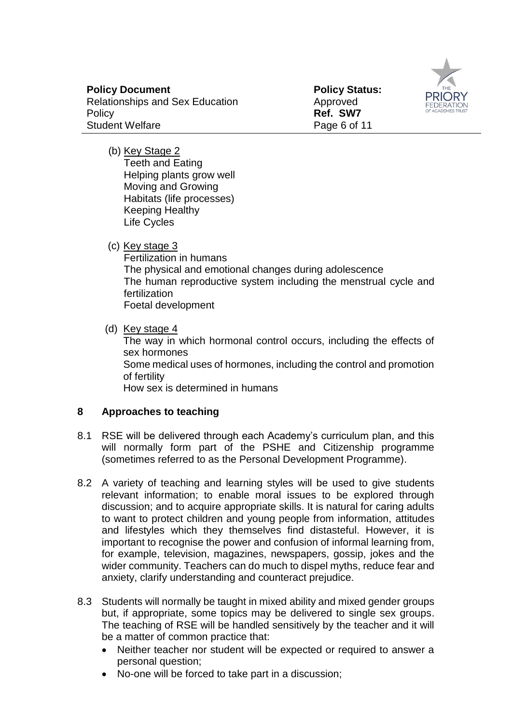

**Policy Status:**  Approved **Ref. SW7**

(b) Key Stage 2 Teeth and Eating Helping plants grow well Moving and Growing Habitats (life processes)

Keeping Healthy

Life Cycles

(c) Key stage 3

Fertilization in humans The physical and emotional changes during adolescence The human reproductive system including the menstrual cycle and fertilization Foetal development

(d) Key stage 4

The way in which hormonal control occurs, including the effects of sex hormones Some medical uses of hormones, including the control and promotion of fertility How sex is determined in humans

# **8 Approaches to teaching**

- 8.1 RSE will be delivered through each Academy's curriculum plan, and this will normally form part of the PSHE and Citizenship programme (sometimes referred to as the Personal Development Programme).
- 8.2 A variety of teaching and learning styles will be used to give students relevant information; to enable moral issues to be explored through discussion; and to acquire appropriate skills. It is natural for caring adults to want to protect children and young people from information, attitudes and lifestyles which they themselves find distasteful. However, it is important to recognise the power and confusion of informal learning from, for example, television, magazines, newspapers, gossip, jokes and the wider community. Teachers can do much to dispel myths, reduce fear and anxiety, clarify understanding and counteract prejudice.
- 8.3 Students will normally be taught in mixed ability and mixed gender groups but, if appropriate, some topics may be delivered to single sex groups. The teaching of RSE will be handled sensitively by the teacher and it will be a matter of common practice that:
	- Neither teacher nor student will be expected or required to answer a personal question;
	- No-one will be forced to take part in a discussion;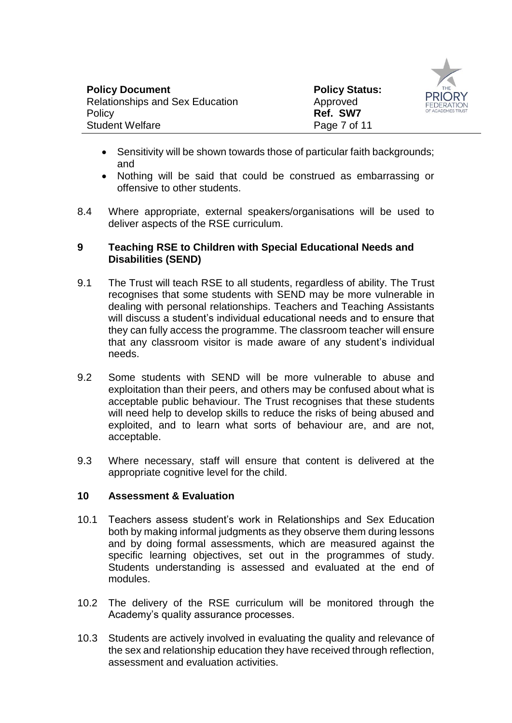



- Sensitivity will be shown towards those of particular faith backgrounds; and
- Nothing will be said that could be construed as embarrassing or offensive to other students.
- 8.4 Where appropriate, external speakers/organisations will be used to deliver aspects of the RSE curriculum.

#### **9 Teaching RSE to Children with Special Educational Needs and Disabilities (SEND)**

- 9.1 The Trust will teach RSE to all students, regardless of ability. The Trust recognises that some students with SEND may be more vulnerable in dealing with personal relationships. Teachers and Teaching Assistants will discuss a student's individual educational needs and to ensure that they can fully access the programme. The classroom teacher will ensure that any classroom visitor is made aware of any student's individual needs.
- 9.2 Some students with SEND will be more vulnerable to abuse and exploitation than their peers, and others may be confused about what is acceptable public behaviour. The Trust recognises that these students will need help to develop skills to reduce the risks of being abused and exploited, and to learn what sorts of behaviour are, and are not, acceptable.
- 9.3 Where necessary, staff will ensure that content is delivered at the appropriate cognitive level for the child.

#### **10 Assessment & Evaluation**

- 10.1 Teachers assess student's work in Relationships and Sex Education both by making informal judgments as they observe them during lessons and by doing formal assessments, which are measured against the specific learning objectives, set out in the programmes of study. Students understanding is assessed and evaluated at the end of modules.
- 10.2 The delivery of the RSE curriculum will be monitored through the Academy's quality assurance processes.
- 10.3 Students are actively involved in evaluating the quality and relevance of the sex and relationship education they have received through reflection, assessment and evaluation activities.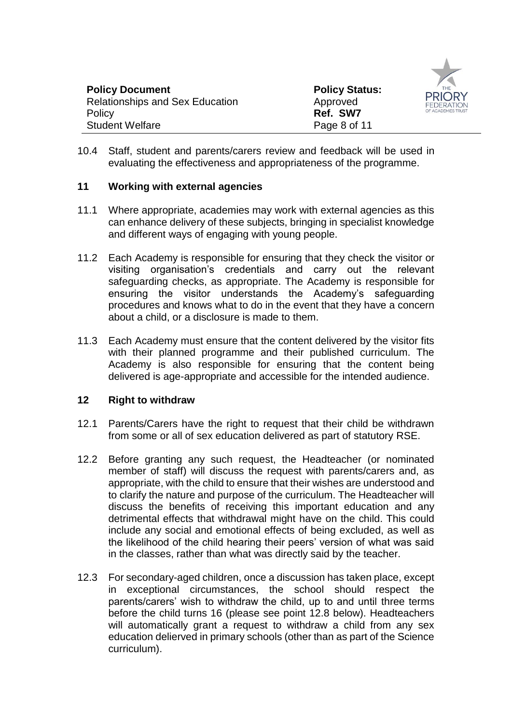

10.4 Staff, student and parents/carers review and feedback will be used in evaluating the effectiveness and appropriateness of the programme.

#### **11 Working with external agencies**

- 11.1 Where appropriate, academies may work with external agencies as this can enhance delivery of these subjects, bringing in specialist knowledge and different ways of engaging with young people.
- 11.2 Each Academy is responsible for ensuring that they check the visitor or visiting organisation's credentials and carry out the relevant safeguarding checks, as appropriate. The Academy is responsible for ensuring the visitor understands the Academy's safeguarding procedures and knows what to do in the event that they have a concern about a child, or a disclosure is made to them.
- 11.3 Each Academy must ensure that the content delivered by the visitor fits with their planned programme and their published curriculum. The Academy is also responsible for ensuring that the content being delivered is age-appropriate and accessible for the intended audience.

#### **12 Right to withdraw**

- 12.1 Parents/Carers have the right to request that their child be withdrawn from some or all of sex education delivered as part of statutory RSE.
- 12.2 Before granting any such request, the Headteacher (or nominated member of staff) will discuss the request with parents/carers and, as appropriate, with the child to ensure that their wishes are understood and to clarify the nature and purpose of the curriculum. The Headteacher will discuss the benefits of receiving this important education and any detrimental effects that withdrawal might have on the child. This could include any social and emotional effects of being excluded, as well as the likelihood of the child hearing their peers' version of what was said in the classes, rather than what was directly said by the teacher.
- 12.3 For secondary-aged children, once a discussion has taken place, except in exceptional circumstances, the school should respect the parents/carers' wish to withdraw the child, up to and until three terms before the child turns 16 (please see point 12.8 below). Headteachers will automatically grant a request to withdraw a child from any sex education delierved in primary schools (other than as part of the Science curriculum).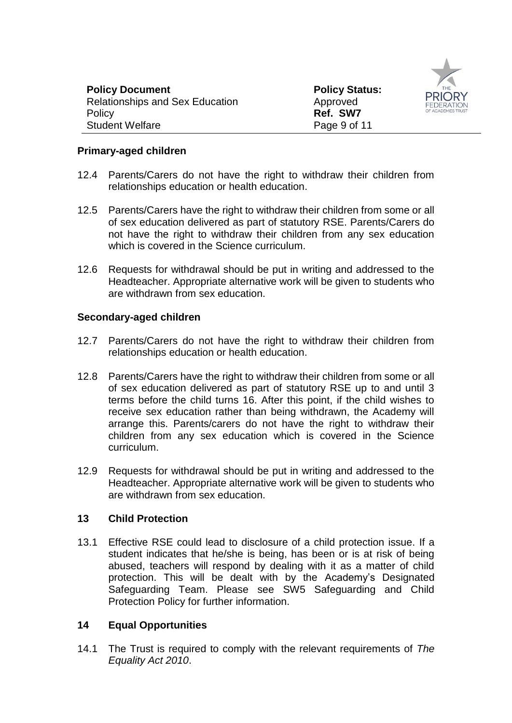

#### **Primary-aged children**

- 12.4 Parents/Carers do not have the right to withdraw their children from relationships education or health education.
- 12.5 Parents/Carers have the right to withdraw their children from some or all of sex education delivered as part of statutory RSE. Parents/Carers do not have the right to withdraw their children from any sex education which is covered in the Science curriculum.
- 12.6 Requests for withdrawal should be put in writing and addressed to the Headteacher. Appropriate alternative work will be given to students who are withdrawn from sex education.

#### **Secondary-aged children**

- 12.7 Parents/Carers do not have the right to withdraw their children from relationships education or health education.
- 12.8 Parents/Carers have the right to withdraw their children from some or all of sex education delivered as part of statutory RSE up to and until 3 terms before the child turns 16. After this point, if the child wishes to receive sex education rather than being withdrawn, the Academy will arrange this. Parents/carers do not have the right to withdraw their children from any sex education which is covered in the Science curriculum.
- 12.9 Requests for withdrawal should be put in writing and addressed to the Headteacher. Appropriate alternative work will be given to students who are withdrawn from sex education.

#### **13 Child Protection**

13.1 Effective RSE could lead to disclosure of a child protection issue. If a student indicates that he/she is being, has been or is at risk of being abused, teachers will respond by dealing with it as a matter of child protection. This will be dealt with by the Academy's Designated Safeguarding Team. Please see SW5 Safeguarding and Child Protection Policy for further information.

#### **14 Equal Opportunities**

14.1 The Trust is required to comply with the relevant requirements of *The Equality Act 2010*.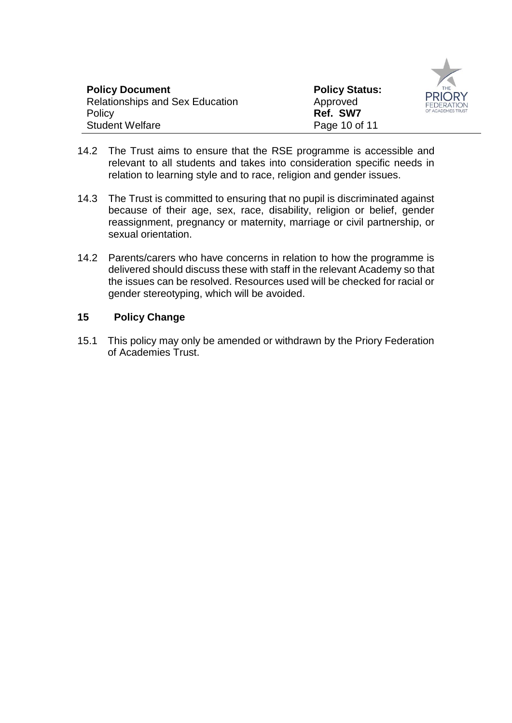

- 14.2 The Trust aims to ensure that the RSE programme is accessible and relevant to all students and takes into consideration specific needs in relation to learning style and to race, religion and gender issues.
- 14.3 The Trust is committed to ensuring that no pupil is discriminated against because of their age, sex, race, disability, religion or belief, gender reassignment, pregnancy or maternity, marriage or civil partnership, or sexual orientation.
- 14.2 Parents/carers who have concerns in relation to how the programme is delivered should discuss these with staff in the relevant Academy so that the issues can be resolved. Resources used will be checked for racial or gender stereotyping, which will be avoided.

#### **15 Policy Change**

15.1 This policy may only be amended or withdrawn by the Priory Federation of Academies Trust.